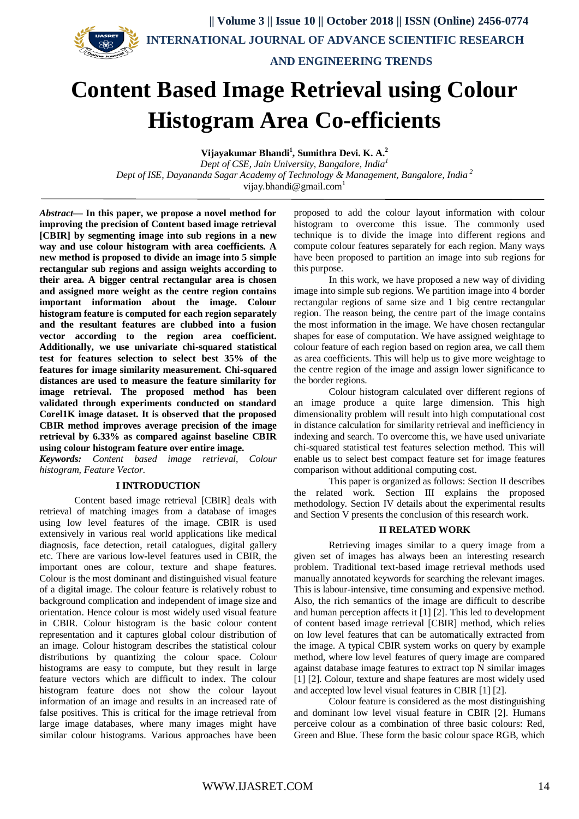



 **INTERNATIONAL JOURNAL OF ADVANCE SCIENTIFIC RESEARCH** 

 **AND ENGINEERING TRENDS**

# **Content Based Image Retrieval using Colour Histogram Area Co-efficients**

**Vijayakumar Bhandi<sup>1</sup> , Sumithra Devi. K. A.<sup>2</sup>** *Dept of CSE, Jain University, Bangalore, India<sup>1</sup>*

*Dept of ISE, Dayananda Sagar Academy of Technology & Management, Bangalore, India <sup>2</sup>* vijay.bhandi@gmail.com<sup>1</sup>

*Abstract***— In this paper, we propose a novel method for improving the precision of Content based image retrieval [CBIR] by segmenting image into sub regions in a new way and use colour histogram with area coefficients. A new method is proposed to divide an image into 5 simple rectangular sub regions and assign weights according to their area. A bigger central rectangular area is chosen and assigned more weight as the centre region contains important information about the image. Colour histogram feature is computed for each region separately and the resultant features are clubbed into a fusion vector according to the region area coefficient. Additionally, we use univariate chi-squared statistical test for features selection to select best 35% of the features for image similarity measurement. Chi-squared distances are used to measure the feature similarity for image retrieval. The proposed method has been validated through experiments conducted on standard Corel1K image dataset. It is observed that the proposed CBIR method improves average precision of the image retrieval by 6.33% as compared against baseline CBIR using colour histogram feature over entire image.**

*Keywords: Content based image retrieval, Colour histogram, Feature Vector.*

## **I INTRODUCTION**

Content based image retrieval [CBIR] deals with retrieval of matching images from a database of images using low level features of the image. CBIR is used extensively in various real world applications like medical diagnosis, face detection, retail catalogues, digital gallery etc. There are various low-level features used in CBIR, the important ones are colour, texture and shape features. Colour is the most dominant and distinguished visual feature of a digital image. The colour feature is relatively robust to background complication and independent of image size and orientation. Hence colour is most widely used visual feature in CBIR. Colour histogram is the basic colour content representation and it captures global colour distribution of an image. Colour histogram describes the statistical colour distributions by quantizing the colour space. Colour histograms are easy to compute, but they result in large feature vectors which are difficult to index. The colour histogram feature does not show the colour layout information of an image and results in an increased rate of false positives. This is critical for the image retrieval from large image databases, where many images might have similar colour histograms. Various approaches have been

proposed to add the colour layout information with colour histogram to overcome this issue. The commonly used technique is to divide the image into different regions and compute colour features separately for each region. Many ways have been proposed to partition an image into sub regions for this purpose.

In this work, we have proposed a new way of dividing image into simple sub regions. We partition image into 4 border rectangular regions of same size and 1 big centre rectangular region. The reason being, the centre part of the image contains the most information in the image. We have chosen rectangular shapes for ease of computation. We have assigned weightage to colour feature of each region based on region area, we call them as area coefficients. This will help us to give more weightage to the centre region of the image and assign lower significance to the border regions.

Colour histogram calculated over different regions of an image produce a quite large dimension. This high dimensionality problem will result into high computational cost in distance calculation for similarity retrieval and inefficiency in indexing and search. To overcome this, we have used univariate chi-squared statistical test features selection method. This will enable us to select best compact feature set for image features comparison without additional computing cost.

This paper is organized as follows: Section II describes the related work. Section III explains the proposed methodology. Section IV details about the experimental results and Section V presents the conclusion of this research work.

## **II RELATED WORK**

Retrieving images similar to a query image from a given set of images has always been an interesting research problem. Traditional text-based image retrieval methods used manually annotated keywords for searching the relevant images. This is labour-intensive, time consuming and expensive method. Also, the rich semantics of the image are difficult to describe and human perception affects it [1] [2]. This led to development of content based image retrieval [CBIR] method, which relies on low level features that can be automatically extracted from the image. A typical CBIR system works on query by example method, where low level features of query image are compared against database image features to extract top N similar images [1] [2]. Colour, texture and shape features are most widely used and accepted low level visual features in CBIR [1] [2].

Colour feature is considered as the most distinguishing and dominant low level visual feature in CBIR [2]. Humans perceive colour as a combination of three basic colours: Red, Green and Blue. These form the basic colour space RGB, which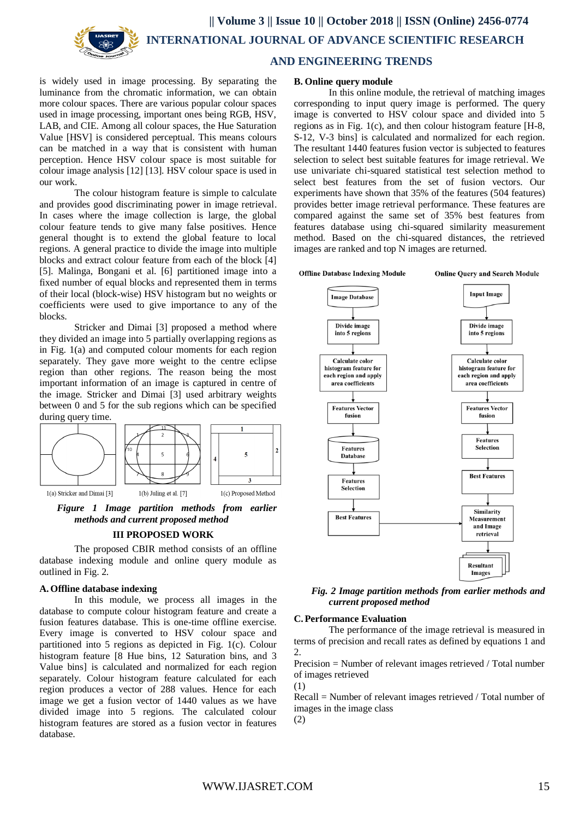



 **AND ENGINEERING TRENDS**

is widely used in image processing. By separating the luminance from the chromatic information, we can obtain more colour spaces. There are various popular colour spaces used in image processing, important ones being RGB, HSV, LAB, and CIE. Among all colour spaces, the Hue Saturation Value [HSV] is considered perceptual. This means colours can be matched in a way that is consistent with human perception. Hence HSV colour space is most suitable for colour image analysis [12] [13]. HSV colour space is used in our work.

The colour histogram feature is simple to calculate and provides good discriminating power in image retrieval. In cases where the image collection is large, the global colour feature tends to give many false positives. Hence general thought is to extend the global feature to local regions. A general practice to divide the image into multiple blocks and extract colour feature from each of the block [4] [5]. Malinga, Bongani et al. [6] partitioned image into a fixed number of equal blocks and represented them in terms of their local (block-wise) HSV histogram but no weights or coefficients were used to give importance to any of the blocks.

Stricker and Dimai [3] proposed a method where they divided an image into 5 partially overlapping regions as in Fig. 1(a) and computed colour moments for each region separately. They gave more weight to the centre eclipse region than other regions. The reason being the most important information of an image is captured in centre of the image. Stricker and Dimai [3] used arbitrary weights between 0 and 5 for the sub regions which can be specified during query time.



*Figure 1 Image partition methods from earlier methods and current proposed method* **III PROPOSED WORK**

The proposed CBIR method consists of an offline database indexing module and online query module as outlined in Fig. 2.

#### **A.Offline database indexing**

In this module, we process all images in the database to compute colour histogram feature and create a fusion features database. This is one-time offline exercise. Every image is converted to HSV colour space and partitioned into 5 regions as depicted in Fig. 1(c). Colour histogram feature [8 Hue bins, 12 Saturation bins, and 3 Value bins] is calculated and normalized for each region separately. Colour histogram feature calculated for each region produces a vector of 288 values. Hence for each image we get a fusion vector of 1440 values as we have divided image into 5 regions. The calculated colour histogram features are stored as a fusion vector in features database.

#### **B. Online query module**

In this online module, the retrieval of matching images corresponding to input query image is performed. The query image is converted to HSV colour space and divided into 5 regions as in Fig. 1(c), and then colour histogram feature [H-8, S-12, V-3 bins] is calculated and normalized for each region. The resultant 1440 features fusion vector is subjected to features selection to select best suitable features for image retrieval. We use univariate chi-squared statistical test selection method to select best features from the set of fusion vectors. Our experiments have shown that 35% of the features (504 features) provides better image retrieval performance. These features are compared against the same set of 35% best features from features database using chi-squared similarity measurement method. Based on the chi-squared distances, the retrieved images are ranked and top N images are returned.

**Offline Database Indexing Module** 

**Online Ouery and Search Module** 



*Fig. 2 Image partition methods from earlier methods and current proposed method*

#### **C. Performance Evaluation**

The performance of the image retrieval is measured in terms of precision and recall rates as defined by equations 1 and 2.

Precision = Number of relevant images retrieved / Total number of images retrieved (1)

Recall = Number of relevant images retrieved / Total number of images in the image class

(2)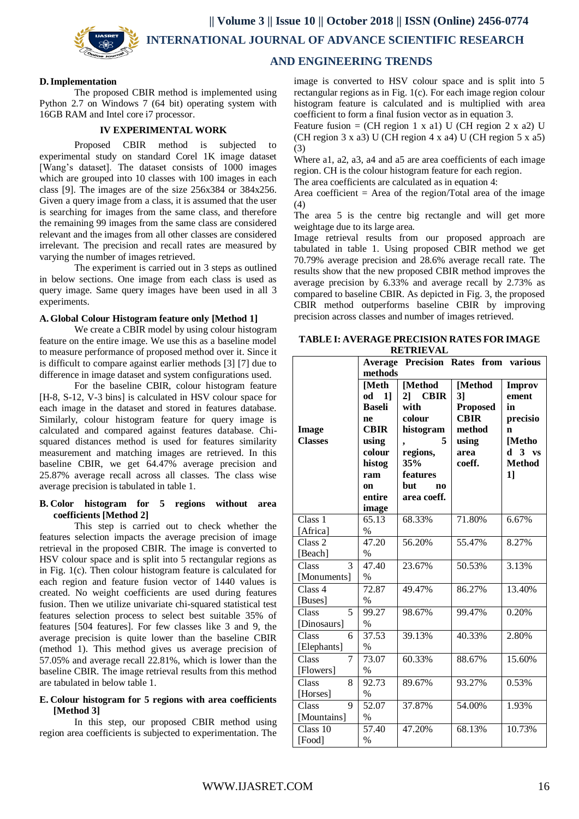**|| Volume 3 || Issue 10 || October 2018 || ISSN (Online) 2456-0774**



 **INTERNATIONAL JOURNAL OF ADVANCE SCIENTIFIC RESEARCH** 

## **AND ENGINEERING TRENDS**

#### **D.Implementation**

The proposed CBIR method is implemented using Python 2.7 on Windows 7 (64 bit) operating system with 16GB RAM and Intel core i7 processor.

#### **IV EXPERIMENTAL WORK**

Proposed CBIR method is subjected to experimental study on standard Corel 1K image dataset [Wang's dataset]. The dataset consists of 1000 images which are grouped into 10 classes with 100 images in each class [9]. The images are of the size 256x384 or 384x256. Given a query image from a class, it is assumed that the user is searching for images from the same class, and therefore the remaining 99 images from the same class are considered relevant and the images from all other classes are considered irrelevant. The precision and recall rates are measured by varying the number of images retrieved.

The experiment is carried out in 3 steps as outlined in below sections. One image from each class is used as query image. Same query images have been used in all 3 experiments.

### **A.Global Colour Histogram feature only [Method 1]**

We create a CBIR model by using colour histogram feature on the entire image. We use this as a baseline model to measure performance of proposed method over it. Since it is difficult to compare against earlier methods [3] [7] due to difference in image dataset and system configurations used.

For the baseline CBIR, colour histogram feature [H-8, S-12, V-3 bins] is calculated in HSV colour space for each image in the dataset and stored in features database. Similarly, colour histogram feature for query image is calculated and compared against features database. Chisquared distances method is used for features similarity measurement and matching images are retrieved. In this baseline CBIR, we get 64.47% average precision and 25.87% average recall across all classes. The class wise average precision is tabulated in table 1.

#### **B. Color histogram for 5 regions without area coefficients [Method 2]**

This step is carried out to check whether the features selection impacts the average precision of image retrieval in the proposed CBIR. The image is converted to HSV colour space and is split into 5 rectangular regions as in Fig. 1(c). Then colour histogram feature is calculated for each region and feature fusion vector of 1440 values is created. No weight coefficients are used during features fusion. Then we utilize univariate chi-squared statistical test features selection process to select best suitable 35% of features [504 features]. For few classes like 3 and 9, the average precision is quite lower than the baseline CBIR (method 1). This method gives us average precision of 57.05% and average recall 22.81%, which is lower than the baseline CBIR. The image retrieval results from this method are tabulated in below table 1.

#### **E. Colour histogram for 5 regions with area coefficients [Method 3]**

In this step, our proposed CBIR method using region area coefficients is subjected to experimentation. The

image is converted to HSV colour space and is split into 5 rectangular regions as in Fig. 1(c). For each image region colour histogram feature is calculated and is multiplied with area coefficient to form a final fusion vector as in equation 3.

Feature fusion = (CH region 1 x a1) U (CH region 2 x a2) U (CH region 3 x a3) U (CH region 4 x a4) U (CH region 5 x a5) (3)

Where a1, a2, a3, a4 and a5 are area coefficients of each image region. CH is the colour histogram feature for each region.

The area coefficients are calculated as in equation 4:

Area coefficient  $=$  Area of the region/Total area of the image (4)

The area 5 is the centre big rectangle and will get more weightage due to its large area.

Image retrieval results from our proposed approach are tabulated in table 1. Using proposed CBIR method we get 70.79% average precision and 28.6% average recall rate. The results show that the new proposed CBIR method improves the average precision by 6.33% and average recall by 2.73% as compared to baseline CBIR. As depicted in Fig. 3, the proposed CBIR method outperforms baseline CBIR by improving precision across classes and number of images retrieved.

| <b>TABLE I: AVERAGE PRECISION RATES FOR IMAGE</b> |
|---------------------------------------------------|
| <b>RETRIEVAL</b>                                  |

|                    | <b>Precision Rates from</b><br>various<br><b>Average</b> |             |                 |                     |
|--------------------|----------------------------------------------------------|-------------|-----------------|---------------------|
|                    | methods                                                  |             |                 |                     |
|                    | [Meth                                                    | [Method     | [Method         | <b>Improv</b>       |
|                    | 11<br>od                                                 | 2] CBIR     | 3]              | ement               |
|                    | <b>Baseli</b>                                            | with        | <b>Proposed</b> | in                  |
|                    | ne                                                       | colour      | <b>CBIR</b>     | precisio            |
| <b>Image</b>       | <b>CBIR</b>                                              | histogram   | method          | n                   |
| <b>Classes</b>     | using                                                    | 5<br>,      | using           | [Metho              |
|                    | colour                                                   | regions,    | area            | h<br>3<br><b>VS</b> |
|                    | histog                                                   | 35%         | coeff.          | <b>Method</b>       |
|                    | ram                                                      | features    |                 | 11                  |
|                    | on                                                       | but.<br>no  |                 |                     |
|                    | entire                                                   | area coeff. |                 |                     |
|                    | image                                                    |             |                 |                     |
| Class <sub>1</sub> | 65.13                                                    | 68.33%      | 71.80%          | 6.67%               |
| [Africa]           | $\%$                                                     |             |                 |                     |
| Class 2            | 47.20                                                    | 56.20%      | 55.47%          | 8.27%               |
| [Beach]            | $\%$                                                     |             |                 |                     |
| Class<br>3         | 47.40                                                    | 23.67%      | 50.53%          | 3.13%               |
| [Monuments]        | $\%$                                                     |             |                 |                     |
| Class 4            | 72.87                                                    | 49.47%      | 86.27%          | 13.40%              |
| [Buses]            | $\%$                                                     |             |                 |                     |
| Class<br>5         | 99.27                                                    | 98.67%      | 99.47%          | 0.20%               |
| [Dinosaurs]        | $\frac{0}{0}$                                            |             |                 |                     |
| Class<br>6         | 37.53                                                    | 39.13%      | 40.33%          | 2.80%               |
| [Elephants]        | $\%$                                                     |             |                 |                     |
| Class<br>7         | 73.07                                                    | 60.33%      | 88.67%          | 15.60%              |
| [Flowers]          | $\frac{0}{0}$                                            |             |                 |                     |
| Class<br>8         | 92.73                                                    | 89.67%      | 93.27%          | 0.53%               |
| [Horses]           | $\%$                                                     |             |                 |                     |
| Class<br>9         | 52.07                                                    | 37.87%      | 54.00%          | 1.93%               |
| [Mountains]        | $\frac{0}{0}$                                            |             |                 |                     |
| Class 10           | 57.40                                                    | 47.20%      | 68.13%          | 10.73%              |
| [Food]             | $\frac{0}{0}$                                            |             |                 |                     |